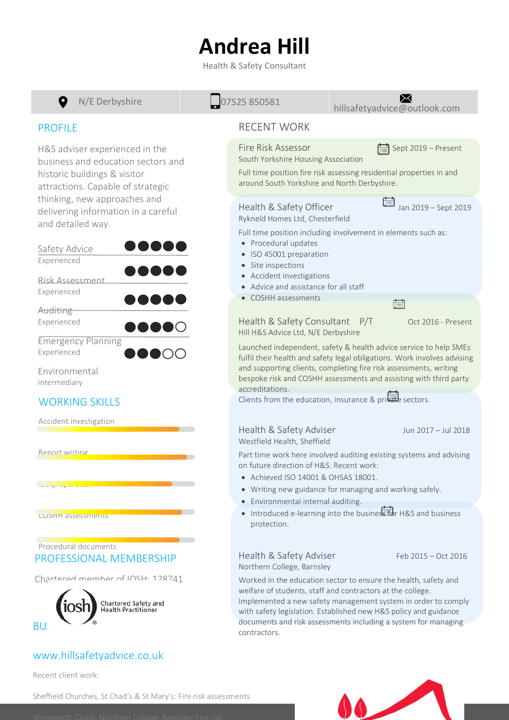## **Andrea Hill**

Health & Safety Consultant



Recent client work:

Sheffield Churches, St Chad's & St Mary's: Fire risk assessments